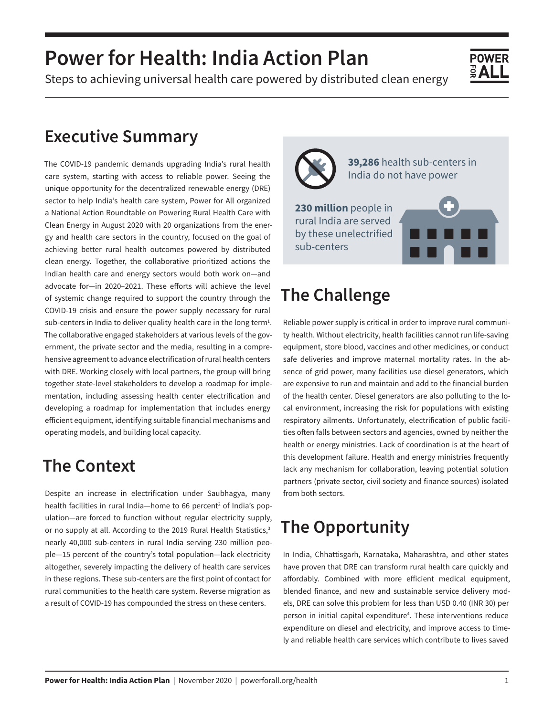# **Power for Health: India Action Plan**

Steps to achieving universal health care powered by distributed clean energy

#### **Executive Summary**

The COVID-19 pandemic demands upgrading India's rural health care system, starting with access to reliable power. Seeing the unique opportunity for the decentralized renewable energy (DRE) sector to help India's health care system, Power for All organized a National Action Roundtable on Powering Rural Health Care with Clean Energy in August 2020 with 20 organizations from the energy and health care sectors in the country, focused on the goal of achieving better rural health outcomes powered by distributed clean energy. Together, the collaborative prioritized actions the Indian health care and energy sectors would both work on—and advocate for—in 2020–2021. These efforts will achieve the level of systemic change required to support the country through the COVID-19 crisis and ensure the power supply necessary for rural sub-centers in India to deliver quality health care in the long term<sup>1</sup>. The collaborative engaged stakeholders at various levels of the government, the private sector and the media, resulting in a comprehensive agreement to advance electrification of rural health centers with DRE. Working closely with local partners, the group will bring together state-level stakeholders to develop a roadmap for implementation, including assessing health center electrification and developing a roadmap for implementation that includes energy efficient equipment, identifying suitable financial mechanisms and operating models, and building local capacity.

#### **The Context**

Despite an increase in electrification under Saubhagya, many health facilities in rural India-home to 66 percent<sup>2</sup> of India's population—are forced to function without regular electricity supply, or no supply at all. According to the 2019 Rural Health Statistics,<sup>3</sup> nearly 40,000 sub-centers in rural India serving 230 million people—15 percent of the country's total population—lack electricity altogether, severely impacting the delivery of health care services in these regions. These sub-centers are the first point of contact for rural communities to the health care system. Reverse migration as a result of COVID-19 has compounded the stress on these centers.



**39,286** health sub-centers in India do not have power

**POWFR** 

**230 million** people in rural India are served by these unelectrified sub-centers

## **The Challenge**

Reliable power supply is critical in order to improve rural community health. Without electricity, health facilities cannot run life-saving equipment, store blood, vaccines and other medicines, or conduct safe deliveries and improve maternal mortality rates. In the absence of grid power, many facilities use diesel generators, which are expensive to run and maintain and add to the financial burden of the health center. Diesel generators are also polluting to the local environment, increasing the risk for populations with existing respiratory ailments. Unfortunately, electrification of public facilities often falls between sectors and agencies, owned by neither the health or energy ministries. Lack of coordination is at the heart of this development failure. Health and energy ministries frequently lack any mechanism for collaboration, leaving potential solution partners (private sector, civil society and finance sources) isolated from both sectors.

## **The Opportunity**

In India, Chhattisgarh, Karnataka, Maharashtra, and other states have proven that DRE can transform rural health care quickly and affordably. Combined with more efficient medical equipment, blended finance, and new and sustainable service delivery models, DRE can solve this problem for less than USD 0.40 (INR 30) per person in initial capital expenditure<sup>4</sup>. These interventions reduce expenditure on diesel and electricity, and improve access to timely and reliable health care services which contribute to lives saved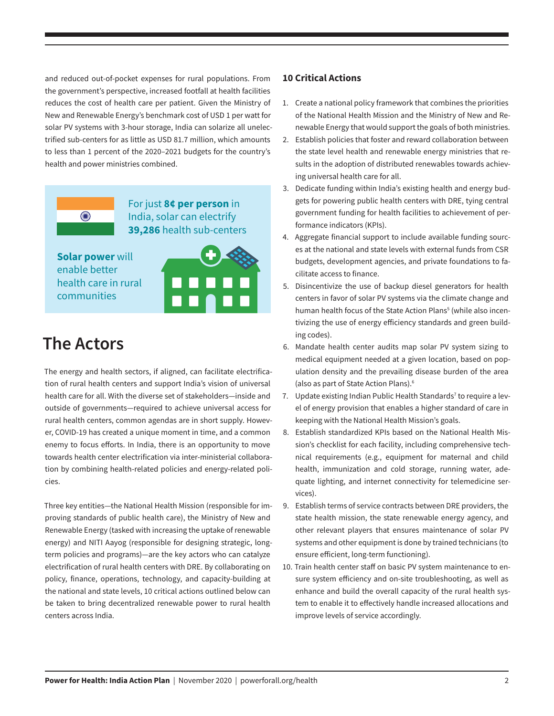and reduced out-of-pocket expenses for rural populations. From the government's perspective, increased footfall at health facilities reduces the cost of health care per patient. Given the Ministry of New and Renewable Energy's benchmark cost of USD 1 per watt for solar PV systems with 3-hour storage, India can solarize all unelectrified sub-centers for as little as USD 81.7 million, which amounts to less than 1 percent of the 2020–2021 budgets for the country's health and power ministries combined.





**Solar power** will enable better health care in rural communities

### **The Actors**

The energy and health sectors, if aligned, can facilitate electrification of rural health centers and support India's vision of universal health care for all. With the diverse set of stakeholders—inside and outside of governments—required to achieve universal access for rural health centers, common agendas are in short supply. However, COVID-19 has created a unique moment in time, and a common enemy to focus efforts. In India, there is an opportunity to move towards health center electrification via inter-ministerial collaboration by combining health-related policies and energy-related policies.

Three key entities—the National Health Mission (responsible for improving standards of public health care), the Ministry of New and Renewable Energy (tasked with increasing the uptake of renewable energy) and NITI Aayog (responsible for designing strategic, longterm policies and programs)—are the key actors who can catalyze electrification of rural health centers with DRE. By collaborating on policy, finance, operations, technology, and capacity-building at the national and state levels, 10 critical actions outlined below can be taken to bring decentralized renewable power to rural health centers across India.

#### **10 Critical Actions**

- 1. Create a national policy framework that combines the priorities of the National Health Mission and the Ministry of New and Renewable Energy that would support the goals of both ministries.
- 2. Establish policies that foster and reward collaboration between the state level health and renewable energy ministries that results in the adoption of distributed renewables towards achieving universal health care for all.
- 3. Dedicate funding within India's existing health and energy budgets for powering public health centers with DRE, tying central government funding for health facilities to achievement of performance indicators (KPIs).
- 4. Aggregate financial support to include available funding sources at the national and state levels with external funds from CSR budgets, development agencies, and private foundations to facilitate access to finance.
- 5. Disincentivize the use of backup diesel generators for health centers in favor of solar PV systems via the climate change and human health focus of the State Action Plans<sup>5</sup> (while also incentivizing the use of energy efficiency standards and green building codes).
- 6. Mandate health center audits map solar PV system sizing to medical equipment needed at a given location, based on population density and the prevailing disease burden of the area (also as part of State Action Plans).6
- 7. Update existing Indian Public Health Standards<sup>7</sup> to require a level of energy provision that enables a higher standard of care in keeping with the National Health Mission's goals.
- 8. Establish standardized KPIs based on the National Health Mission's checklist for each facility, including comprehensive technical requirements (e.g., equipment for maternal and child health, immunization and cold storage, running water, adequate lighting, and internet connectivity for telemedicine services).
- 9. Establish terms of service contracts between DRE providers, the state health mission, the state renewable energy agency, and other relevant players that ensures maintenance of solar PV systems and other equipment is done by trained technicians (to ensure efficient, long-term functioning).
- 10. Train health center staff on basic PV system maintenance to ensure system efficiency and on-site troubleshooting, as well as enhance and build the overall capacity of the rural health system to enable it to effectively handle increased allocations and improve levels of service accordingly.